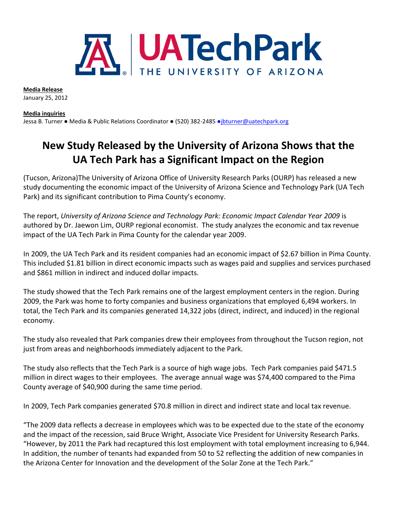

**Media Release** January 25, 2012

**Media inquiries** 

Jessa B. Turner · Media & Public Relations Coordinator · (520) 382-2485 · [jbturner@uatechpark.org](mailto:●jbturner@uatechpark.org)

## **New Study Released by the University of Arizona Shows that the UA Tech Park has a Significant Impact on the Region**

(Tucson, Arizona)The University of Arizona Office of University Research Parks (OURP) has released a new study documenting the economic impact of the University of Arizona Science and Technology Park (UA Tech Park) and its significant contribution to Pima County's economy.

The report, *University of Arizona Science and Technology Park: Economic Impact Calendar Year 2009* is authored by Dr. Jaewon Lim, OURP regional economist. The study analyzes the economic and tax revenue impact of the UA Tech Park in Pima County for the calendar year 2009.

In 2009, the UA Tech Park and its resident companies had an economic impact of \$2.67 billion in Pima County. This included \$1.81 billion in direct economic impacts such as wages paid and supplies and services purchased and \$861 million in indirect and induced dollar impacts.

The study showed that the Tech Park remains one of the largest employment centers in the region. During 2009, the Park was home to forty companies and business organizations that employed 6,494 workers. In total, the Tech Park and its companies generated 14,322 jobs (direct, indirect, and induced) in the regional economy.

The study also revealed that Park companies drew their employees from throughout the Tucson region, not just from areas and neighborhoods immediately adjacent to the Park.

The study also reflects that the Tech Park is a source of high wage jobs. Tech Park companies paid \$471.5 million in direct wages to their employees. The average annual wage was \$74,400 compared to the Pima County average of \$40,900 during the same time period.

In 2009, Tech Park companies generated \$70.8 million in direct and indirect state and local tax revenue.

"The 2009 data reflects a decrease in employees which was to be expected due to the state of the economy and the impact of the recession, said Bruce Wright, Associate Vice President for University Research Parks. "However, by 2011 the Park had recaptured this lost employment with total employment increasing to 6,944. In addition, the number of tenants had expanded from 50 to 52 reflecting the addition of new companies in the Arizona Center for Innovation and the development of the Solar Zone at the Tech Park."